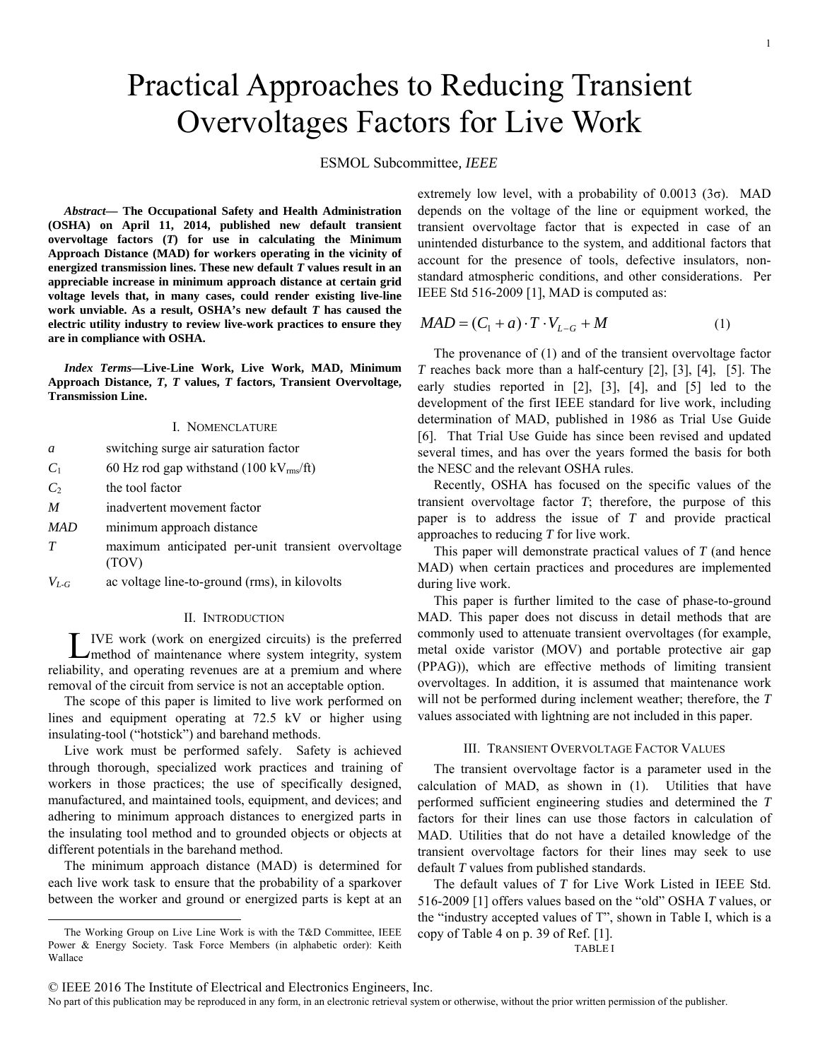# Practical Approaches to Reducing Transient Overvoltages Factors for Live Work

ESMOL Subcommittee*, IEEE* 

*Abstract***— The Occupational Safety and Health Administration (OSHA) on April 11, 2014, published new default transient overvoltage factors (***T***) for use in calculating the Minimum Approach Distance (MAD) for workers operating in the vicinity of energized transmission lines. These new default** *T* **values result in an appreciable increase in minimum approach distance at certain grid voltage levels that, in many cases, could render existing live-line work unviable. As a result, OSHA's new default** *T* **has caused the electric utility industry to review live-work practices to ensure they are in compliance with OSHA.** 

*Index Terms***—Live-Line Work, Live Work, MAD, Minimum Approach Distance,** *T***,** *T* **values,** *T* **factors, Transient Overvoltage, Transmission Line.** 

#### I. NOMENCLATURE

- *a* switching surge air saturation factor
- $C_1$  60 Hz rod gap withstand (100 kV<sub>rms</sub>/ft)
- $C_2$  the tool factor
- *M* inadvertent movement factor
- *MAD* minimum approach distance
- *T* maximum anticipated per-unit transient overvoltage (TOV)
- *VL-G* ac voltage line-to-ground (rms), in kilovolts

# II. INTRODUCTION

IVE work (work on energized circuits) is the preferred method of maintenance where system integrity, system Lreliability, and operating revenues are at a premium and where removal of the circuit from service is not an acceptable option.

The scope of this paper is limited to live work performed on lines and equipment operating at 72.5 kV or higher using insulating-tool ("hotstick") and barehand methods.

Live work must be performed safely. Safety is achieved through thorough, specialized work practices and training of workers in those practices; the use of specifically designed, manufactured, and maintained tools, equipment, and devices; and adhering to minimum approach distances to energized parts in the insulating tool method and to grounded objects or objects at different potentials in the barehand method.

The minimum approach distance (MAD) is determined for each live work task to ensure that the probability of a sparkover between the worker and ground or energized parts is kept at an extremely low level, with a probability of  $0.0013$  (3 $\sigma$ ). MAD depends on the voltage of the line or equipment worked, the transient overvoltage factor that is expected in case of an unintended disturbance to the system, and additional factors that account for the presence of tools, defective insulators, nonstandard atmospheric conditions, and other considerations. Per IEEE Std 516-2009 [1], MAD is computed as:

 $MAD = (C_1 + a) \cdot T \cdot V_{L-G} + M$  (1)

The provenance of (1) and of the transient overvoltage factor *T* reaches back more than a half-century [2], [3], [4], [5]. The early studies reported in [2], [3], [4], and [5] led to the development of the first IEEE standard for live work, including determination of MAD, published in 1986 as Trial Use Guide [6]. That Trial Use Guide has since been revised and updated several times, and has over the years formed the basis for both the NESC and the relevant OSHA rules.

Recently, OSHA has focused on the specific values of the transient overvoltage factor *T*; therefore, the purpose of this paper is to address the issue of *T* and provide practical approaches to reducing *T* for live work.

This paper will demonstrate practical values of *T* (and hence MAD) when certain practices and procedures are implemented during live work.

This paper is further limited to the case of phase-to-ground MAD. This paper does not discuss in detail methods that are commonly used to attenuate transient overvoltages (for example, metal oxide varistor (MOV) and portable protective air gap (PPAG)), which are effective methods of limiting transient overvoltages. In addition, it is assumed that maintenance work will not be performed during inclement weather; therefore, the *T* values associated with lightning are not included in this paper.

### III. TRANSIENT OVERVOLTAGE FACTOR VALUES

The transient overvoltage factor is a parameter used in the calculation of MAD, as shown in (1). Utilities that have performed sufficient engineering studies and determined the *T* factors for their lines can use those factors in calculation of MAD. Utilities that do not have a detailed knowledge of the transient overvoltage factors for their lines may seek to use default *T* values from published standards.

The default values of *T* for Live Work Listed in IEEE Std. 516-2009 [1] offers values based on the "old" OSHA *T* values, or the "industry accepted values of T", shown in Table I, which is a copy of Table 4 on p. 39 of Ref. [1].

TABLE I

The Working Group on Live Line Work is with the T&D Committee, IEEE Power & Energy Society. Task Force Members (in alphabetic order): Keith Wallace

No part of this publication may be reproduced in any form, in an electronic retrieval system or otherwise, without the prior written permission of the publisher.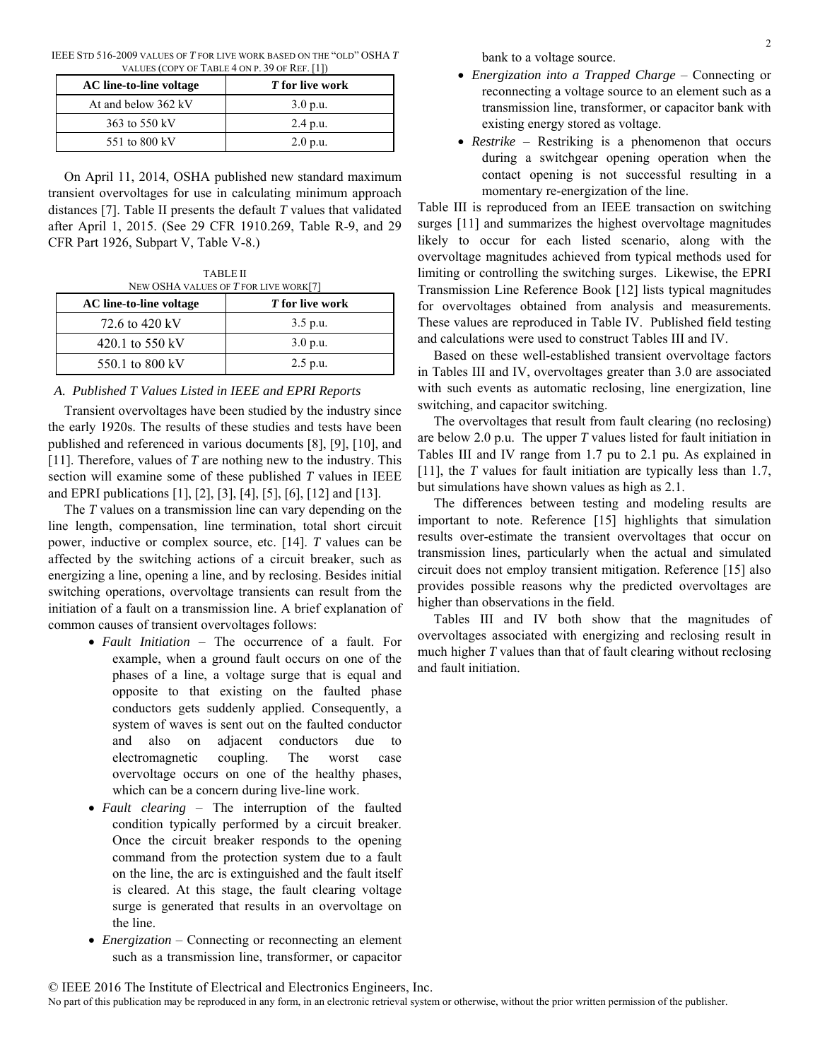| IEEE STD 516-2009 VALUES OF T FOR LIVE WORK BASED ON THE "OLD" OSHA T |                                               |  |  |  |
|-----------------------------------------------------------------------|-----------------------------------------------|--|--|--|
|                                                                       | VALUES (COPY OF TABLE 4 ON P. 39 OF REF. [1]) |  |  |  |

| AC line-to-line voltage | T for live work |
|-------------------------|-----------------|
| At and below 362 kV     | 3.0 p.u.        |
| 363 to 550 kV           | $2.4$ p.u.      |
| 551 to 800 kV           | 2.0 p.u.        |

On April 11, 2014, OSHA published new standard maximum transient overvoltages for use in calculating minimum approach distances [7]. Table II presents the default *T* values that validated after April 1, 2015. (See 29 CFR 1910.269, Table R-9, and 29 CFR Part 1926, Subpart V, Table V-8.)

TABLE II NEW OSHA VALUES OF *T* FOR LIVE WORK[7]

| AC line-to-line voltage | T for live work |
|-------------------------|-----------------|
| 72.6 to 420 kV          | $3.5$ p.u.      |
| 420.1 to 550 kV         | 3.0 p.u.        |
| 550.1 to 800 kV         | $2.5$ p.u.      |

# *A. Published T Values Listed in IEEE and EPRI Reports*

Transient overvoltages have been studied by the industry since the early 1920s. The results of these studies and tests have been published and referenced in various documents [8], [9], [10], and [11]. Therefore, values of *T* are nothing new to the industry. This section will examine some of these published *T* values in IEEE and EPRI publications [1], [2], [3], [4], [5], [6], [12] and [13].

The *T* values on a transmission line can vary depending on the line length, compensation, line termination, total short circuit power, inductive or complex source, etc. [14]. *T* values can be affected by the switching actions of a circuit breaker, such as energizing a line, opening a line, and by reclosing. Besides initial switching operations, overvoltage transients can result from the initiation of a fault on a transmission line. A brief explanation of common causes of transient overvoltages follows:

- *Fault Initiation* The occurrence of a fault. For example, when a ground fault occurs on one of the phases of a line, a voltage surge that is equal and opposite to that existing on the faulted phase conductors gets suddenly applied. Consequently, a system of waves is sent out on the faulted conductor and also on adjacent conductors due to electromagnetic coupling. The worst case overvoltage occurs on one of the healthy phases, which can be a concern during live-line work.
- *Fault clearing* The interruption of the faulted condition typically performed by a circuit breaker. Once the circuit breaker responds to the opening command from the protection system due to a fault on the line, the arc is extinguished and the fault itself is cleared. At this stage, the fault clearing voltage surge is generated that results in an overvoltage on the line.
- *Energization* Connecting or reconnecting an element such as a transmission line, transformer, or capacitor

bank to a voltage source.

- *Energization into a Trapped Charge* Connecting or reconnecting a voltage source to an element such as a transmission line, transformer, or capacitor bank with existing energy stored as voltage.
- *Restrike* Restriking is a phenomenon that occurs during a switchgear opening operation when the contact opening is not successful resulting in a momentary re-energization of the line.

Table III is reproduced from an IEEE transaction on switching surges [11] and summarizes the highest overvoltage magnitudes likely to occur for each listed scenario, along with the overvoltage magnitudes achieved from typical methods used for limiting or controlling the switching surges. Likewise, the EPRI Transmission Line Reference Book [12] lists typical magnitudes for overvoltages obtained from analysis and measurements. These values are reproduced in Table IV. Published field testing and calculations were used to construct Tables III and IV.

Based on these well-established transient overvoltage factors in Tables III and IV, overvoltages greater than 3.0 are associated with such events as automatic reclosing, line energization, line switching, and capacitor switching.

The overvoltages that result from fault clearing (no reclosing) are below 2.0 p.u. The upper *T* values listed for fault initiation in Tables III and IV range from 1.7 pu to 2.1 pu. As explained in [11], the *T* values for fault initiation are typically less than 1.7, but simulations have shown values as high as 2.1.

The differences between testing and modeling results are important to note. Reference [15] highlights that simulation results over-estimate the transient overvoltages that occur on transmission lines, particularly when the actual and simulated circuit does not employ transient mitigation. Reference [15] also provides possible reasons why the predicted overvoltages are higher than observations in the field.

Tables III and IV both show that the magnitudes of overvoltages associated with energizing and reclosing result in much higher *T* values than that of fault clearing without reclosing and fault initiation.

<sup>©</sup> IEEE 2016 The Institute of Electrical and Electronics Engineers, Inc.

No part of this publication may be reproduced in any form, in an electronic retrieval system or otherwise, without the prior written permission of the publisher.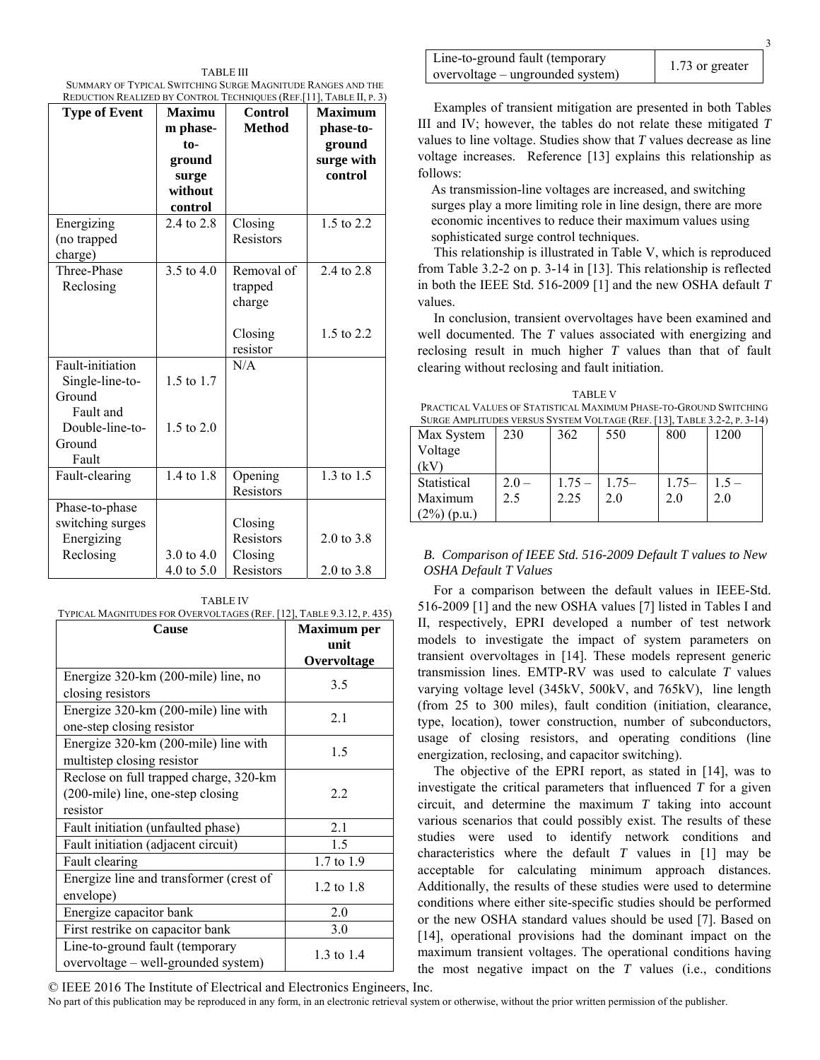TABLE III SUMMARY OF TYPICAL SWITCHING SURGE MAGNITUDE RANGES AND THE REDUCTION REALIZED BY CONTROL TECHNIQUES (REF.[11], TABLE II, P. 3)

| REDUCTION REALIZED BY CONTROL TECHNIQUES (REF. [TI ], TABLE II, P. 3) |               |                |                       |  |  |
|-----------------------------------------------------------------------|---------------|----------------|-----------------------|--|--|
| <b>Type of Event</b>                                                  | <b>Maximu</b> | <b>Control</b> | <b>Maximum</b>        |  |  |
|                                                                       | m phase-      | <b>Method</b>  | phase-to-             |  |  |
|                                                                       | $to-$         |                | ground                |  |  |
|                                                                       | ground        |                | surge with            |  |  |
|                                                                       | surge         |                | control               |  |  |
|                                                                       | without       |                |                       |  |  |
|                                                                       | control       |                |                       |  |  |
| Energizing                                                            | 2.4 to 2.8    | Closing        | 1.5 to 2.2            |  |  |
| (no trapped                                                           |               | Resistors      |                       |  |  |
|                                                                       |               |                |                       |  |  |
| charge)<br>Three-Phase                                                | 3.5 to 4.0    | Removal of     | 2.4 to 2.8            |  |  |
|                                                                       |               |                |                       |  |  |
| Reclosing                                                             |               | trapped        |                       |  |  |
|                                                                       |               | charge         |                       |  |  |
|                                                                       |               |                |                       |  |  |
|                                                                       |               | Closing        | 1.5 to 2.2            |  |  |
|                                                                       |               | resistor       |                       |  |  |
| Fault-initiation                                                      |               | N/A            |                       |  |  |
| Single-line-to-                                                       | 1.5 to 1.7    |                |                       |  |  |
| Ground                                                                |               |                |                       |  |  |
| Fault and                                                             |               |                |                       |  |  |
| Double-line-to-                                                       | 1.5 to $2.0$  |                |                       |  |  |
| Ground                                                                |               |                |                       |  |  |
| Fault                                                                 |               |                |                       |  |  |
| Fault-clearing                                                        | 1.4 to 1.8    | Opening        | 1.3 to 1.5            |  |  |
|                                                                       |               | Resistors      |                       |  |  |
| Phase-to-phase                                                        |               |                |                       |  |  |
| switching surges                                                      |               |                |                       |  |  |
|                                                                       |               | Closing        |                       |  |  |
| Energizing                                                            |               | Resistors      | $2.0 \text{ to } 3.8$ |  |  |
| Reclosing                                                             | 3.0 to $4.0$  | Closing        |                       |  |  |
|                                                                       | 4.0 to 5.0    | Resistors      | $2.0 \text{ to } 3.8$ |  |  |

| <b>TABLE IV</b>                                                       |  |
|-----------------------------------------------------------------------|--|
| TYPICAL MAGNITUDES FOR OVERVOLTAGES (REF. [12], TABLE 9.3.12, P. 435) |  |
|                                                                       |  |

| <b>Cause</b>                                                                            | <b>Maximum</b> per  |  |
|-----------------------------------------------------------------------------------------|---------------------|--|
|                                                                                         | unit<br>Overvoltage |  |
| Energize 320-km (200-mile) line, no<br>closing resistors                                | 3.5                 |  |
| Energize 320-km (200-mile) line with<br>one-step closing resistor                       | 2.1                 |  |
| Energize 320-km (200-mile) line with<br>multistep closing resistor                      | 1.5                 |  |
| Reclose on full trapped charge, 320-km<br>(200-mile) line, one-step closing<br>resistor | 2.2                 |  |
| Fault initiation (unfaulted phase)                                                      | 2.1                 |  |
| Fault initiation (adjacent circuit)                                                     | 1.5                 |  |
| Fault clearing                                                                          | 1.7 to 1.9          |  |
| Energize line and transformer (crest of<br>envelope)                                    | $1.2$ to $1.8$      |  |
| Energize capacitor bank                                                                 | 2.0                 |  |
| First restrike on capacitor bank                                                        | 3.0                 |  |
| Line-to-ground fault (temporary<br>overvoltage – well-grounded system)                  | 1.3 to 1.4          |  |

| Line-to-ground fault (temporary  | 1.73 or greater |
|----------------------------------|-----------------|
| overvoltage – ungrounded system) |                 |

Examples of transient mitigation are presented in both Tables III and IV; however, the tables do not relate these mitigated *T* values to line voltage. Studies show that *T* values decrease as line voltage increases. Reference [13] explains this relationship as follows:

As transmission-line voltages are increased, and switching surges play a more limiting role in line design, there are more economic incentives to reduce their maximum values using sophisticated surge control techniques.

This relationship is illustrated in Table V, which is reproduced from Table 3.2-2 on p. 3-14 in [13]. This relationship is reflected in both the IEEE Std. 516-2009 [1] and the new OSHA default *T* values.

In conclusion, transient overvoltages have been examined and well documented. The *T* values associated with energizing and reclosing result in much higher *T* values than that of fault clearing without reclosing and fault initiation.

TABLE V PRACTICAL VALUES OF STATISTICAL MAXIMUM PHASE-TO-GROUND SWITCHING SURGE AMPLITUDES VERSUS SYSTEM VOLTAGE (REF. [13], TABLE 3.2.2, P. 3-14)

| DUNUE AMIEITUDES VENSUS STSTEM VOLTAUE (INEF. [19], TABLE 9.2-2, I. 9-14] |         |          |         |         |         |
|---------------------------------------------------------------------------|---------|----------|---------|---------|---------|
| Max System                                                                | 230     | 362      | 550     | 800     | 1200    |
| Voltage                                                                   |         |          |         |         |         |
| (kV                                                                       |         |          |         |         |         |
| Statistical                                                               | $2.0 -$ | $1.75 -$ | $1.75-$ | $1.75-$ | $1.5 -$ |
| Maximum                                                                   | 2.5     | 2.25     | 2.0     | 2.0     | 2.0     |
| $(2\%)$ (p.u.)                                                            |         |          |         |         |         |

# *B. Comparison of IEEE Std. 516-2009 Default T values to New OSHA Default T Values*

For a comparison between the default values in IEEE-Std. 516-2009 [1] and the new OSHA values [7] listed in Tables I and II, respectively, EPRI developed a number of test network models to investigate the impact of system parameters on transient overvoltages in [14]. These models represent generic transmission lines. EMTP-RV was used to calculate *T* values varying voltage level (345kV, 500kV, and 765kV), line length (from 25 to 300 miles), fault condition (initiation, clearance, type, location), tower construction, number of subconductors, usage of closing resistors, and operating conditions (line energization, reclosing, and capacitor switching).

The objective of the EPRI report, as stated in [14], was to investigate the critical parameters that influenced *T* for a given circuit, and determine the maximum *T* taking into account various scenarios that could possibly exist. The results of these studies were used to identify network conditions and characteristics where the default *T* values in [1] may be acceptable for calculating minimum approach distances. Additionally, the results of these studies were used to determine conditions where either site-specific studies should be performed or the new OSHA standard values should be used [7]. Based on [14], operational provisions had the dominant impact on the maximum transient voltages. The operational conditions having the most negative impact on the *T* values (i.e., conditions

© IEEE 2016 The Institute of Electrical and Electronics Engineers, Inc.

No part of this publication may be reproduced in any form, in an electronic retrieval system or otherwise, without the prior written permission of the publisher.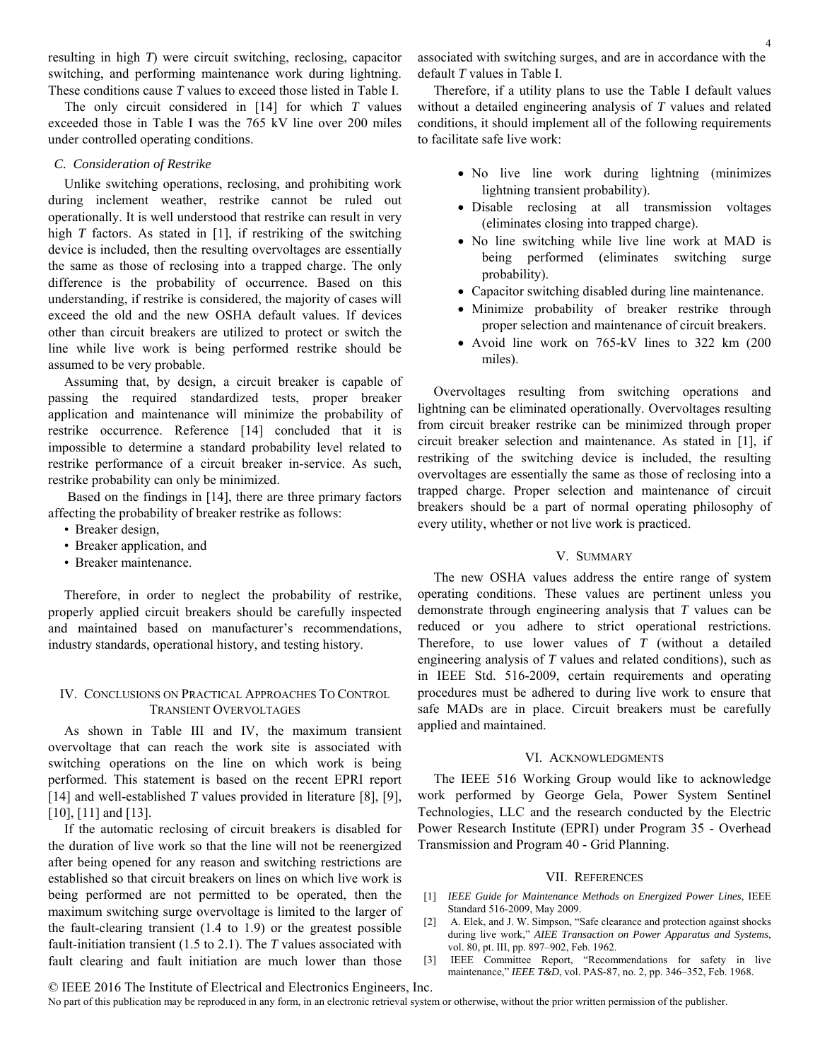resulting in high *T*) were circuit switching, reclosing, capacitor switching, and performing maintenance work during lightning. These conditions cause *T* values to exceed those listed in Table I.

The only circuit considered in [14] for which *T* values exceeded those in Table I was the 765 kV line over 200 miles under controlled operating conditions.

#### *C. Consideration of Restrike*

Unlike switching operations, reclosing, and prohibiting work during inclement weather, restrike cannot be ruled out operationally. It is well understood that restrike can result in very high *T* factors. As stated in [1], if restriking of the switching device is included, then the resulting overvoltages are essentially the same as those of reclosing into a trapped charge. The only difference is the probability of occurrence. Based on this understanding, if restrike is considered, the majority of cases will exceed the old and the new OSHA default values. If devices other than circuit breakers are utilized to protect or switch the line while live work is being performed restrike should be assumed to be very probable.

Assuming that, by design, a circuit breaker is capable of passing the required standardized tests, proper breaker application and maintenance will minimize the probability of restrike occurrence. Reference [14] concluded that it is impossible to determine a standard probability level related to restrike performance of a circuit breaker in-service. As such, restrike probability can only be minimized.

 Based on the findings in [14], there are three primary factors affecting the probability of breaker restrike as follows:

- Breaker design,
- Breaker application, and
- Breaker maintenance.

Therefore, in order to neglect the probability of restrike, properly applied circuit breakers should be carefully inspected and maintained based on manufacturer's recommendations, industry standards, operational history, and testing history.

# IV. CONCLUSIONS ON PRACTICAL APPROACHES TO CONTROL TRANSIENT OVERVOLTAGES

As shown in Table III and IV, the maximum transient overvoltage that can reach the work site is associated with switching operations on the line on which work is being performed. This statement is based on the recent EPRI report [14] and well-established *T* values provided in literature [8], [9], [10], [11] and [13].

If the automatic reclosing of circuit breakers is disabled for the duration of live work so that the line will not be reenergized after being opened for any reason and switching restrictions are established so that circuit breakers on lines on which live work is being performed are not permitted to be operated, then the maximum switching surge overvoltage is limited to the larger of the fault-clearing transient (1.4 to 1.9) or the greatest possible fault-initiation transient (1.5 to 2.1). The *T* values associated with fault clearing and fault initiation are much lower than those

associated with switching surges, and are in accordance with the default *T* values in Table I.

Therefore, if a utility plans to use the Table I default values without a detailed engineering analysis of *T* values and related conditions, it should implement all of the following requirements to facilitate safe live work:

- No live line work during lightning (minimizes lightning transient probability).
- Disable reclosing at all transmission voltages (eliminates closing into trapped charge).
- No line switching while live line work at MAD is being performed (eliminates switching surge probability).
- Capacitor switching disabled during line maintenance.
- Minimize probability of breaker restrike through proper selection and maintenance of circuit breakers.
- Avoid line work on 765-kV lines to 322 km (200) miles).

Overvoltages resulting from switching operations and lightning can be eliminated operationally. Overvoltages resulting from circuit breaker restrike can be minimized through proper circuit breaker selection and maintenance. As stated in [1], if restriking of the switching device is included, the resulting overvoltages are essentially the same as those of reclosing into a trapped charge. Proper selection and maintenance of circuit breakers should be a part of normal operating philosophy of every utility, whether or not live work is practiced.

## V. SUMMARY

The new OSHA values address the entire range of system operating conditions. These values are pertinent unless you demonstrate through engineering analysis that *T* values can be reduced or you adhere to strict operational restrictions. Therefore, to use lower values of *T* (without a detailed engineering analysis of *T* values and related conditions), such as in IEEE Std. 516-2009, certain requirements and operating procedures must be adhered to during live work to ensure that safe MADs are in place. Circuit breakers must be carefully applied and maintained.

#### VI. ACKNOWLEDGMENTS

The IEEE 516 Working Group would like to acknowledge work performed by George Gela, Power System Sentinel Technologies, LLC and the research conducted by the Electric Power Research Institute (EPRI) under Program 35 - Overhead Transmission and Program 40 - Grid Planning.

#### VII. REFERENCES

- [1] *IEEE Guide for Maintenance Methods on Energized Power Lines*, IEEE Standard 516-2009, May 2009.
- [2] A. Elek, and J. W. Simpson, "Safe clearance and protection against shocks during live work," *AIEE Transaction on Power Apparatus and Systems*, vol. 80, pt. III, pp. 897–902, Feb. 1962.
- [3] IEEE Committee Report, "Recommendations for safety in live maintenance," *IEEE T&D*, vol. PAS-87, no. 2, pp. 346–352, Feb. 1968.

No part of this publication may be reproduced in any form, in an electronic retrieval system or otherwise, without the prior written permission of the publisher.